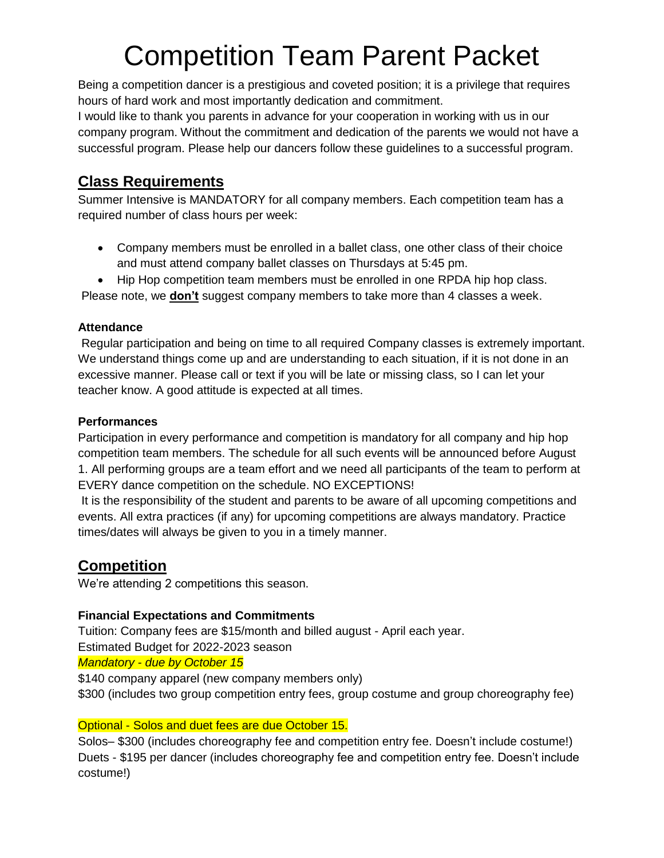# Competition Team Parent Packet

Being a competition dancer is a prestigious and coveted position; it is a privilege that requires hours of hard work and most importantly dedication and commitment.

I would like to thank you parents in advance for your cooperation in working with us in our company program. Without the commitment and dedication of the parents we would not have a successful program. Please help our dancers follow these guidelines to a successful program.

# **Class Requirements**

Summer Intensive is MANDATORY for all company members. Each competition team has a required number of class hours per week:

- Company members must be enrolled in a ballet class, one other class of their choice and must attend company ballet classes on Thursdays at 5:45 pm.
- Hip Hop competition team members must be enrolled in one RPDA hip hop class.

Please note, we **don't** suggest company members to take more than 4 classes a week.

### **Attendance**

Regular participation and being on time to all required Company classes is extremely important. We understand things come up and are understanding to each situation, if it is not done in an excessive manner. Please call or text if you will be late or missing class, so I can let your teacher know. A good attitude is expected at all times.

### **Performances**

Participation in every performance and competition is mandatory for all company and hip hop competition team members. The schedule for all such events will be announced before August 1. All performing groups are a team effort and we need all participants of the team to perform at EVERY dance competition on the schedule. NO EXCEPTIONS!

It is the responsibility of the student and parents to be aware of all upcoming competitions and events. All extra practices (if any) for upcoming competitions are always mandatory. Practice times/dates will always be given to you in a timely manner.

# **Competition**

We're attending 2 competitions this season.

## **Financial Expectations and Commitments**

Tuition: Company fees are \$15/month and billed august - April each year. Estimated Budget for 2022-2023 season

*Mandatory - due by October 15*

\$140 company apparel (new company members only) \$300 (includes two group competition entry fees, group costume and group choreography fee)

### Optional - Solos and duet fees are due October 15.

Solos– \$300 (includes choreography fee and competition entry fee. Doesn't include costume!) Duets - \$195 per dancer (includes choreography fee and competition entry fee. Doesn't include costume!)